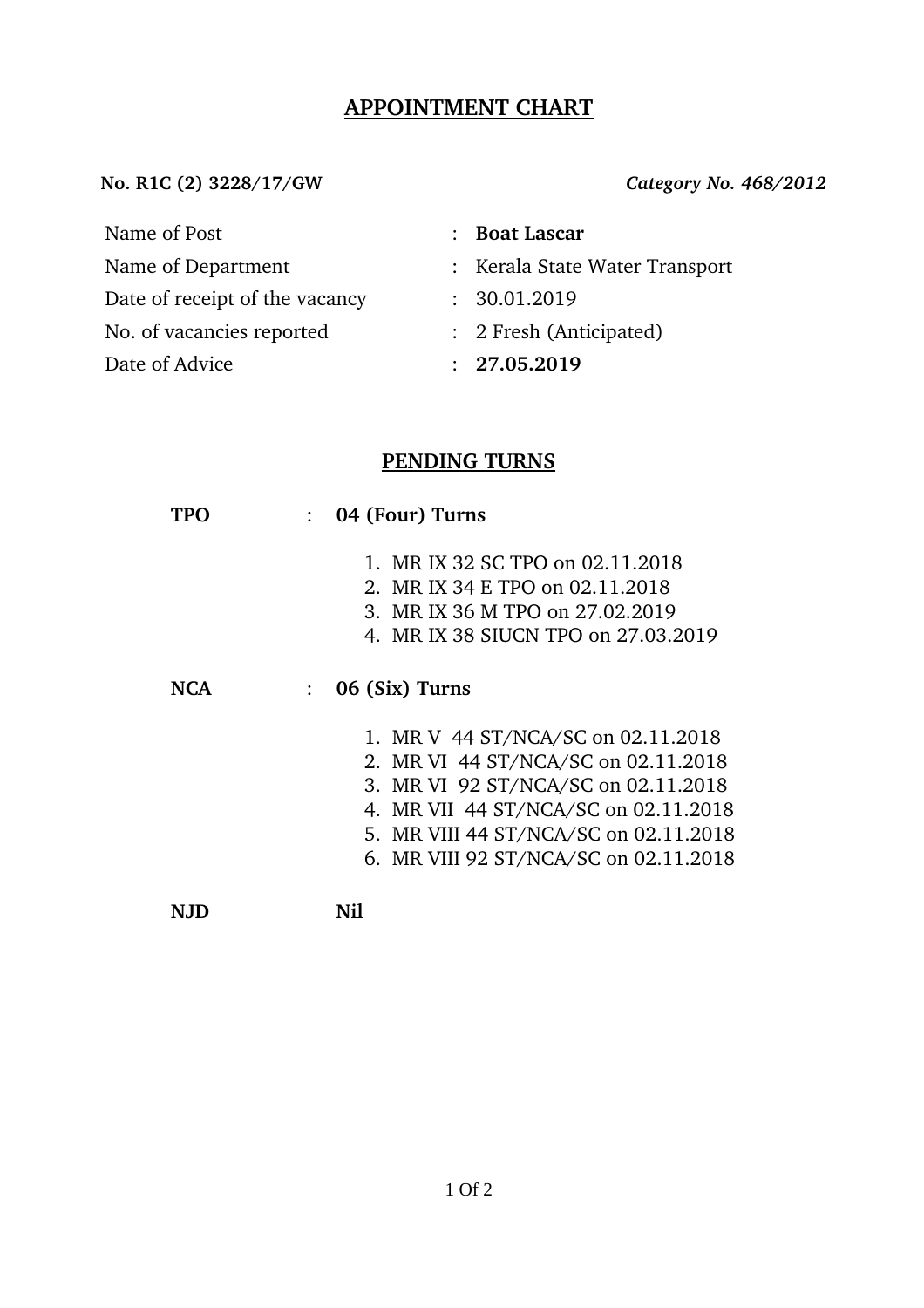### **APPOINTMENT CHART**

**No. R1C (2) 3228/17/GW** *Category No. 468/2012*

Name of Post : **Boat Lascar**

- 
- Date of receipt of the vacancy : 30.01.2019
- No. of vacancies reported : 2 Fresh (Anticipated)
- Date of Advice : **27.05.2019**
- 
- Name of Department : Kerala State Water Transport
	-
	-
	-

## **PENDING TURNS**

| TPO        |                | 04 (Four) Turns                                                                                                                                                                                                                            |  |  |  |  |
|------------|----------------|--------------------------------------------------------------------------------------------------------------------------------------------------------------------------------------------------------------------------------------------|--|--|--|--|
|            |                | 1. MR IX 32 SC TPO on 02.11.2018<br>2. MR IX 34 E TPO on 02.11.2018<br>3. MR IX 36 M TPO on 27,02,2019<br>4. MR IX 38 SIUCN TPO on 27,03,2019                                                                                              |  |  |  |  |
| <b>NCA</b> | 06 (Six) Turns |                                                                                                                                                                                                                                            |  |  |  |  |
|            |                | 1. MR V 44 ST/NCA/SC on 02.11.2018<br>2. MR VI 44 ST/NCA/SC on 02.11.2018<br>3. MR VI 92 ST/NCA/SC on 02.11.2018<br>4. MR VII 44 ST/NCA/SC on 02.11.2018<br>5. MR VIII 44 ST/NCA/SC on 02.11.2018<br>6. MR VIII 92 ST/NCA/SC on 02.11.2018 |  |  |  |  |
|            |                | Nil                                                                                                                                                                                                                                        |  |  |  |  |